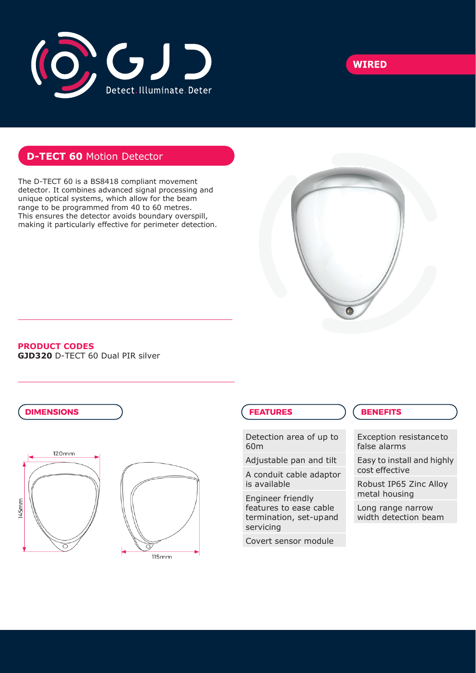



## **D-TECT 60** Motion Detector

The D-TECT 60 is a BS8418 compliant movement detector. It combines advanced signal processing and unique optical systems, which allow for the beam range to be programmed from 40 to 60 metres. This ensures the detector avoids boundary overspill, making it particularly effective for perimeter detection.



#### **PRODUCT CODES**

**GJD320** D-TECT 60 Dual PIR silver



### **FEATURES**

Detection area of up to 60m

Adjustable pan and tilt

A conduit cable adaptor is available

Engineer friendly features to ease cable termination, set-upand servicing

Covert sensor module

### **BENEFITS**

Exception resistanceto false alarms

Easy to install and highly cost effective

Robust IP65 Zinc Alloy metal housing

Long range narrow width detection beam